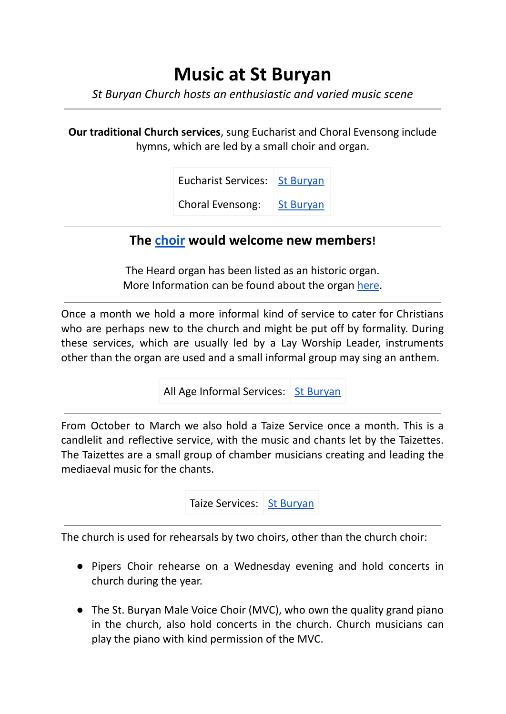## **Music at St Buryan**

*St Buryan Church hosts an enthusiastic and varied music scene*

**Our traditional Church services**, sung Eucharist and Choral Evensong include hymns, which are led by a small choir and organ.

| Eucharist Services:   St Buryan |                  |
|---------------------------------|------------------|
| <b>Choral Evensong:</b>         | <b>St Buryan</b> |

## **The [choir](https://stburyanchurch.org.uk/welcome/church-music/) would welcome new members!**

The Heard organ has been listed as an historic organ. More Information can be found about the organ [here.](https://www.npor.org.uk/NPORView.html?RI=N01281)

Once a month we hold a more informal kind of service to cater for Christians who are perhaps new to the church and might be put off by formality. During these services, which are usually led by a Lay Worship Leader, instruments other than the organ are used and a small informal group may sing an anthem.

All Age Informal Services: St [Buryan](https://stburyanchurch.org.uk/calendar/?month=4&year=2022&monthly_view=list&calendar_category_id=8)

From October to March we also hold a Taize Service once a month. This is a candlelit and reflective service, with the music and chants let by the Taizettes. The Taizettes are a small group of chamber musicians creating and leading the mediaeval music for the chants.



The church is used for rehearsals by two choirs, other than the church choir:

- Pipers Choir rehearse on a Wednesday evening and hold concerts in church during the year.
- The St. Buryan Male Voice Choir (MVC), who own the quality grand piano in the church, also hold concerts in the church. Church musicians can play the piano with kind permission of the MVC.